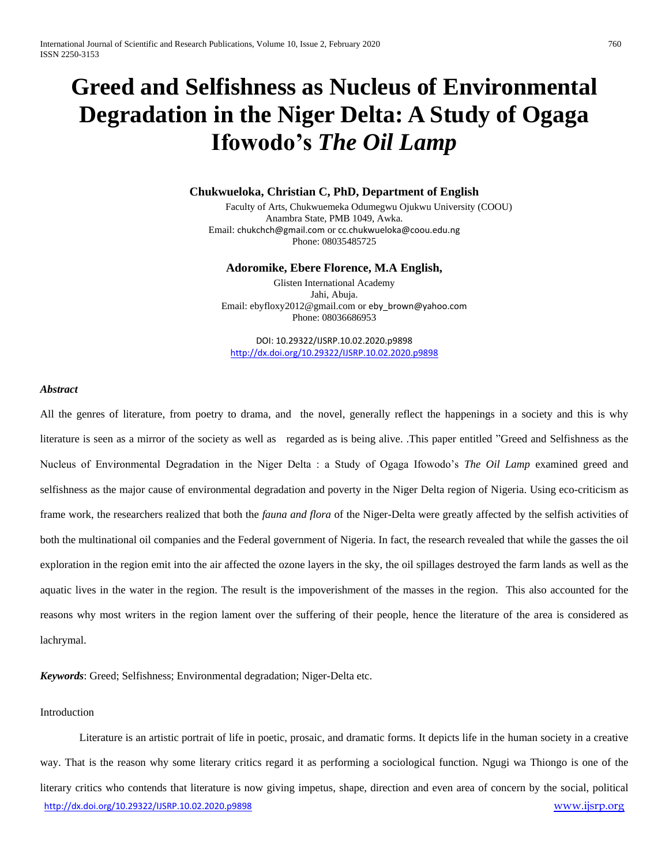# **Greed and Selfishness as Nucleus of Environmental Degradation in the Niger Delta: A Study of Ogaga Ifowodo's** *The Oil Lamp*

# **Chukwueloka, Christian C, PhD, Department of English**

Faculty of Arts, Chukwuemeka Odumegwu Ojukwu University (COOU) Anambra State, PMB 1049, Awka. Email: [chukchch@gmail.com](mailto:chukchch@gmail.com) or [cc.chukwueloka@coou.edu.ng](mailto:cc.chukwueloka@coou.edu.ng) Phone: 08035485725

#### **Adoromike, Ebere Florence, M.A English,**

Glisten International Academy Jahi, Abuja. Email: ebyfloxy2012@gmail.com or [eby\\_brown@yahoo.com](mailto:eby_brown@yahoo.com) Phone: 08036686953

DOI: 10.29322/IJSRP.10.02.2020.p9898 <http://dx.doi.org/10.29322/IJSRP.10.02.2020.p9898>

### *Abstract*

All the genres of literature, from poetry to drama, and the novel, generally reflect the happenings in a society and this is why literature is seen as a mirror of the society as well as regarded as is being alive. .This paper entitled "Greed and Selfishness as the Nucleus of Environmental Degradation in the Niger Delta : a Study of Ogaga Ifowodo's *The Oil Lamp* examined greed and selfishness as the major cause of environmental degradation and poverty in the Niger Delta region of Nigeria. Using eco-criticism as frame work, the researchers realized that both the *fauna and flora* of the Niger-Delta were greatly affected by the selfish activities of both the multinational oil companies and the Federal government of Nigeria. In fact, the research revealed that while the gasses the oil exploration in the region emit into the air affected the ozone layers in the sky, the oil spillages destroyed the farm lands as well as the aquatic lives in the water in the region. The result is the impoverishment of the masses in the region. This also accounted for the reasons why most writers in the region lament over the suffering of their people, hence the literature of the area is considered as lachrymal.

*Keywords*: Greed; Selfishness; Environmental degradation; Niger-Delta etc.

#### Introduction

<http://dx.doi.org/10.29322/IJSRP.10.02.2020.p9898> [www.ijsrp.org](http://ijsrp.org/) Literature is an artistic portrait of life in poetic, prosaic, and dramatic forms. It depicts life in the human society in a creative way. That is the reason why some literary critics regard it as performing a sociological function. Ngugi wa Thiongo is one of the literary critics who contends that literature is now giving impetus, shape, direction and even area of concern by the social, political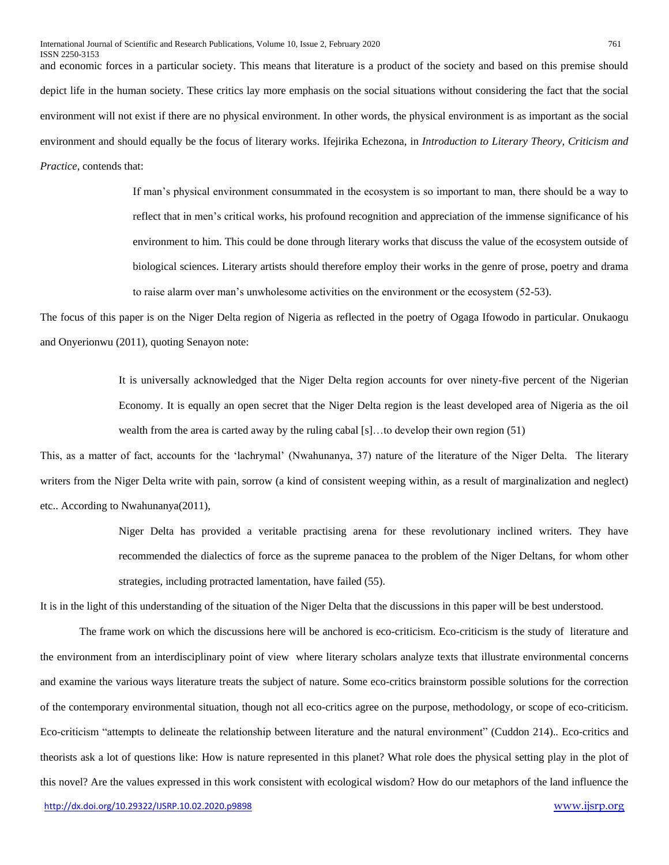and economic forces in a particular society. This means that literature is a product of the society and based on this premise should depict life in the human society. These critics lay more emphasis on the social situations without considering the fact that the social environment will not exist if there are no physical environment. In other words, the physical environment is as important as the social environment and should equally be the focus of literary works. Ifejirika Echezona, in *Introduction to Literary Theory, Criticism and Practice*, contends that:

> If man's physical environment consummated in the ecosystem is so important to man, there should be a way to reflect that in men's critical works, his profound recognition and appreciation of the immense significance of his environment to him. This could be done through literary works that discuss the value of the ecosystem outside of biological sciences. Literary artists should therefore employ their works in the genre of prose, poetry and drama to raise alarm over man's unwholesome activities on the environment or the ecosystem (52-53).

The focus of this paper is on the Niger Delta region of Nigeria as reflected in the poetry of Ogaga Ifowodo in particular. Onukaogu and Onyerionwu (2011), quoting Senayon note:

> It is universally acknowledged that the Niger Delta region accounts for over ninety-five percent of the Nigerian Economy. It is equally an open secret that the Niger Delta region is the least developed area of Nigeria as the oil wealth from the area is carted away by the ruling cabal [s]...to develop their own region (51)

This, as a matter of fact, accounts for the 'lachrymal' (Nwahunanya, 37) nature of the literature of the Niger Delta. The literary writers from the Niger Delta write with pain, sorrow (a kind of consistent weeping within, as a result of marginalization and neglect) etc.. According to Nwahunanya(2011),

> Niger Delta has provided a veritable practising arena for these revolutionary inclined writers. They have recommended the dialectics of force as the supreme panacea to the problem of the Niger Deltans, for whom other strategies, including protracted lamentation, have failed (55).

It is in the light of this understanding of the situation of the Niger Delta that the discussions in this paper will be best understood.

The frame work on which the discussions here will be anchored is eco-criticism. Eco-criticism is the study of [literature](https://en.wikipedia.org/wiki/Literature) and the [environment](https://en.wikipedia.org/wiki/Environment_(biophysical)) from an [interdisciplinary](https://en.wikipedia.org/wiki/Interdisciplinary) point of view where literary scholars analyze texts that illustrate environmental concerns and examine the various ways literature treats the subject of [nature.](https://en.wikipedia.org/wiki/Nature) Some eco-critics brainstorm possible solutions for the correction of the contemporary environmental situation, though not all eco-critics agree on the purpose, methodology, or scope of eco-criticism. Eco-criticism "attempts to delineate the relationship between literature and the natural environment" (Cuddon 214).. Eco-critics and theorists ask a lot of questions like: How is nature represented in this planet? What role does the physical setting play in the plot of this novel? Are the values expressed in this work consistent with ecological wisdom? How do our metaphors of the land influence the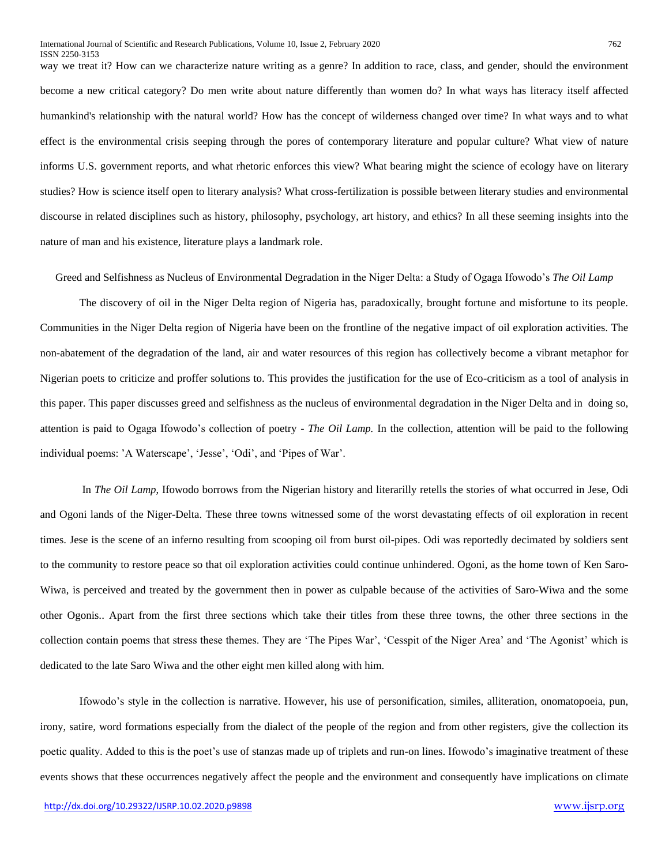way we treat it? How can we characterize nature writing as a genre? In addition to race, class, and gender, should the environment become a new critical category? Do men write about nature differently than women do? In what ways has literacy itself affected humankind's relationship with the natural world? How has the concept of wilderness changed over time? In what ways and to what effect is the environmental crisis seeping through the pores of contemporary literature and popular culture? What view of nature informs U.S. government reports, and what rhetoric enforces this view? What bearing might the science of ecology have on literary studies? How is science itself open to literary analysis? What cross-fertilization is possible between literary studies and environmental discourse in related disciplines such as history, philosophy, psychology, art history, and ethics? In all these seeming insights into the nature of man and his existence, literature plays a landmark role.

Greed and Selfishness as Nucleus of Environmental Degradation in the Niger Delta: a Study of Ogaga Ifowodo's *The Oil Lamp*

The discovery of oil in the Niger Delta region of Nigeria has, paradoxically, brought fortune and misfortune to its people. Communities in the Niger Delta region of Nigeria have been on the frontline of the negative impact of oil exploration activities. The non-abatement of the degradation of the land, air and water resources of this region has collectively become a vibrant metaphor for Nigerian poets to criticize and proffer solutions to. This provides the justification for the use of Eco-criticism as a tool of analysis in this paper. This paper discusses greed and selfishness as the nucleus of environmental degradation in the Niger Delta and in doing so, attention is paid to Ogaga Ifowodo's collection of poetry - *The Oil Lamp.* In the collection, attention will be paid to the following individual poems: 'A Waterscape', 'Jesse', 'Odi', and 'Pipes of War'.

In *The Oil Lamp*, Ifowodo borrows from the Nigerian history and literarilly retells the stories of what occurred in Jese, Odi and Ogoni lands of the Niger-Delta. These three towns witnessed some of the worst devastating effects of oil exploration in recent times. Jese is the scene of an inferno resulting from scooping oil from burst oil-pipes. Odi was reportedly decimated by soldiers sent to the community to restore peace so that oil exploration activities could continue unhindered. Ogoni, as the home town of Ken Saro-Wiwa, is perceived and treated by the government then in power as culpable because of the activities of Saro-Wiwa and the some other Ogonis.. Apart from the first three sections which take their titles from these three towns, the other three sections in the collection contain poems that stress these themes. They are 'The Pipes War', 'Cesspit of the Niger Area' and 'The Agonist' which is dedicated to the late Saro Wiwa and the other eight men killed along with him.

Ifowodo's style in the collection is narrative. However, his use of personification, similes, alliteration, onomatopoeia, pun, irony, satire, word formations especially from the dialect of the people of the region and from other registers, give the collection its poetic quality. Added to this is the poet's use of stanzas made up of triplets and run-on lines. Ifowodo's imaginative treatment of these events shows that these occurrences negatively affect the people and the environment and consequently have implications on climate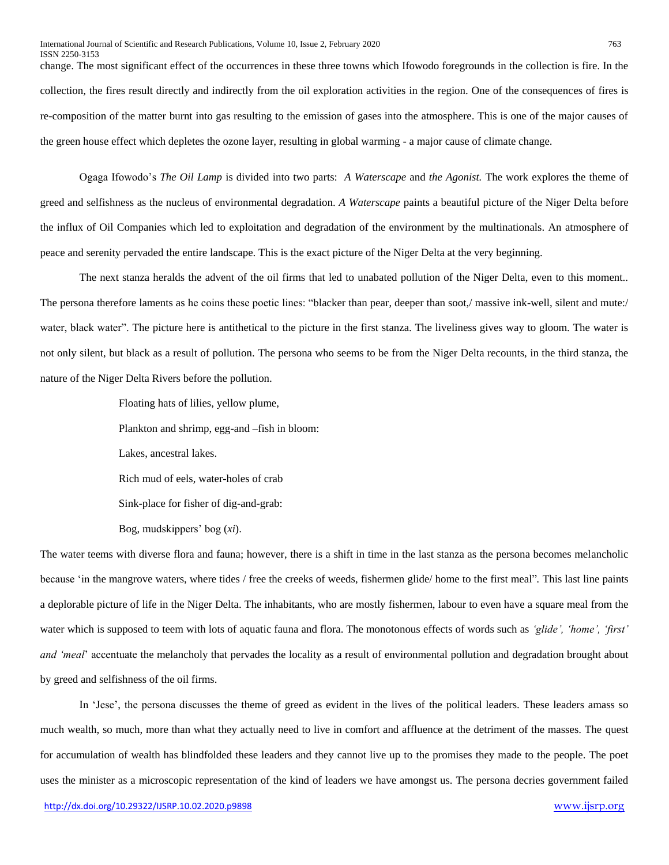change. The most significant effect of the occurrences in these three towns which Ifowodo foregrounds in the collection is fire. In the collection, the fires result directly and indirectly from the oil exploration activities in the region. One of the consequences of fires is re-composition of the matter burnt into gas resulting to the emission of gases into the atmosphere. This is one of the major causes of the green house effect which depletes the ozone layer, resulting in global warming - a major cause of climate change.

Ogaga Ifowodo's *The Oil Lamp* is divided into two parts: *A Waterscape* and *the Agonist.* The work explores the theme of greed and selfishness as the nucleus of environmental degradation. *A Waterscape* paints a beautiful picture of the Niger Delta before the influx of Oil Companies which led to exploitation and degradation of the environment by the multinationals. An atmosphere of peace and serenity pervaded the entire landscape. This is the exact picture of the Niger Delta at the very beginning.

The next stanza heralds the advent of the oil firms that led to unabated pollution of the Niger Delta, even to this moment.. The persona therefore laments as he coins these poetic lines: "blacker than pear, deeper than soot,/ massive ink-well, silent and mute:/ water, black water". The picture here is antithetical to the picture in the first stanza. The liveliness gives way to gloom. The water is not only silent, but black as a result of pollution. The persona who seems to be from the Niger Delta recounts, in the third stanza, the nature of the Niger Delta Rivers before the pollution.

Floating hats of lilies, yellow plume,

Plankton and shrimp, egg-and –fish in bloom:

Lakes, ancestral lakes.

Rich mud of eels, water-holes of crab

Sink-place for fisher of dig-and-grab:

Bog, mudskippers' bog (*xi*).

The water teems with diverse flora and fauna; however, there is a shift in time in the last stanza as the persona becomes melancholic because 'in the mangrove waters, where tides / free the creeks of weeds, fishermen glide/ home to the first meal"*.* This last line paints a deplorable picture of life in the Niger Delta. The inhabitants, who are mostly fishermen, labour to even have a square meal from the water which is supposed to teem with lots of aquatic fauna and flora. The monotonous effects of words such as *'glide', 'home', 'first' and 'meal*' accentuate the melancholy that pervades the locality as a result of environmental pollution and degradation brought about by greed and selfishness of the oil firms.

In 'Jese', the persona discusses the theme of greed as evident in the lives of the political leaders. These leaders amass so much wealth, so much, more than what they actually need to live in comfort and affluence at the detriment of the masses. The quest for accumulation of wealth has blindfolded these leaders and they cannot live up to the promises they made to the people. The poet uses the minister as a microscopic representation of the kind of leaders we have amongst us. The persona decries government failed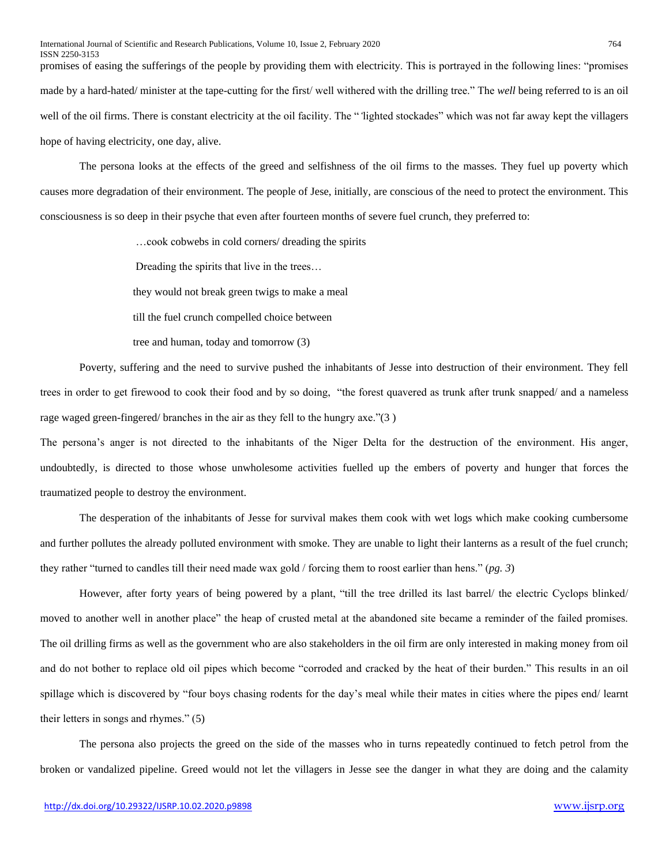promises of easing the sufferings of the people by providing them with electricity. This is portrayed in the following lines: "promises made by a hard-hated/ minister at the tape-cutting for the first/ well withered with the drilling tree." The *well* being referred to is an oil well of the oil firms. There is constant electricity at the oil facility. The "*'*lighted stockades" which was not far away kept the villagers hope of having electricity, one day, alive.

The persona looks at the effects of the greed and selfishness of the oil firms to the masses. They fuel up poverty which causes more degradation of their environment. The people of Jese, initially, are conscious of the need to protect the environment. This consciousness is so deep in their psyche that even after fourteen months of severe fuel crunch, they preferred to:

…cook cobwebs in cold corners/ dreading the spirits

Dreading the spirits that live in the trees…

they would not break green twigs to make a meal

till the fuel crunch compelled choice between

tree and human, today and tomorrow (3)

Poverty, suffering and the need to survive pushed the inhabitants of Jesse into destruction of their environment. They fell trees in order to get firewood to cook their food and by so doing, "the forest quavered as trunk after trunk snapped/ and a nameless rage waged green-fingered/ branches in the air as they fell to the hungry axe."(3 )

The persona's anger is not directed to the inhabitants of the Niger Delta for the destruction of the environment. His anger, undoubtedly, is directed to those whose unwholesome activities fuelled up the embers of poverty and hunger that forces the traumatized people to destroy the environment.

The desperation of the inhabitants of Jesse for survival makes them cook with wet logs which make cooking cumbersome and further pollutes the already polluted environment with smoke. They are unable to light their lanterns as a result of the fuel crunch; they rather "turned to candles till their need made wax gold / forcing them to roost earlier than hens." (*pg. 3*)

However, after forty years of being powered by a plant, "till the tree drilled its last barrel/ the electric Cyclops blinked/ moved to another well in another place" the heap of crusted metal at the abandoned site became a reminder of the failed promises. The oil drilling firms as well as the government who are also stakeholders in the oil firm are only interested in making money from oil and do not bother to replace old oil pipes which become "corroded and cracked by the heat of their burden." This results in an oil spillage which is discovered by "four boys chasing rodents for the day's meal while their mates in cities where the pipes end/ learnt their letters in songs and rhymes." (5)

The persona also projects the greed on the side of the masses who in turns repeatedly continued to fetch petrol from the broken or vandalized pipeline. Greed would not let the villagers in Jesse see the danger in what they are doing and the calamity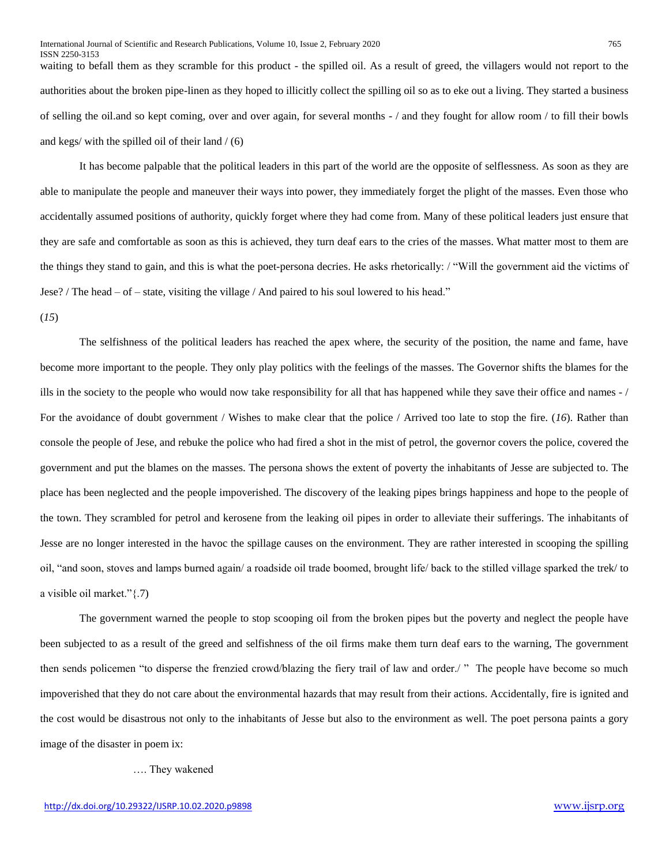waiting to befall them as they scramble for this product - the spilled oil. As a result of greed, the villagers would not report to the authorities about the broken pipe-linen as they hoped to illicitly collect the spilling oil so as to eke out a living. They started a business of selling the oil.and so kept coming, over and over again, for several months - / and they fought for allow room / to fill their bowls and kegs/ with the spilled oil of their land  $/(6)$ 

It has become palpable that the political leaders in this part of the world are the opposite of selflessness. As soon as they are able to manipulate the people and maneuver their ways into power, they immediately forget the plight of the masses. Even those who accidentally assumed positions of authority, quickly forget where they had come from. Many of these political leaders just ensure that they are safe and comfortable as soon as this is achieved, they turn deaf ears to the cries of the masses. What matter most to them are the things they stand to gain, and this is what the poet-persona decries. He asks rhetorically: / "Will the government aid the victims of Jese? / The head – of – state, visiting the village / And paired to his soul lowered to his head."

#### (*15*)

The selfishness of the political leaders has reached the apex where, the security of the position, the name and fame, have become more important to the people. They only play politics with the feelings of the masses. The Governor shifts the blames for the ills in the society to the people who would now take responsibility for all that has happened while they save their office and names - / For the avoidance of doubt government / Wishes to make clear that the police / Arrived too late to stop the fire. (*16*). Rather than console the people of Jese, and rebuke the police who had fired a shot in the mist of petrol, the governor covers the police, covered the government and put the blames on the masses. The persona shows the extent of poverty the inhabitants of Jesse are subjected to. The place has been neglected and the people impoverished. The discovery of the leaking pipes brings happiness and hope to the people of the town. They scrambled for petrol and kerosene from the leaking oil pipes in order to alleviate their sufferings. The inhabitants of Jesse are no longer interested in the havoc the spillage causes on the environment. They are rather interested in scooping the spilling oil, "and soon, stoves and lamps burned again/ a roadside oil trade boomed, brought life/ back to the stilled village sparked the trek/ to a visible oil market."{.7)

The government warned the people to stop scooping oil from the broken pipes but the poverty and neglect the people have been subjected to as a result of the greed and selfishness of the oil firms make them turn deaf ears to the warning, The government then sends policemen "to disperse the frenzied crowd/blazing the fiery trail of law and order./ " The people have become so much impoverished that they do not care about the environmental hazards that may result from their actions. Accidentally, fire is ignited and the cost would be disastrous not only to the inhabitants of Jesse but also to the environment as well. The poet persona paints a gory image of the disaster in poem ix:

…. They wakened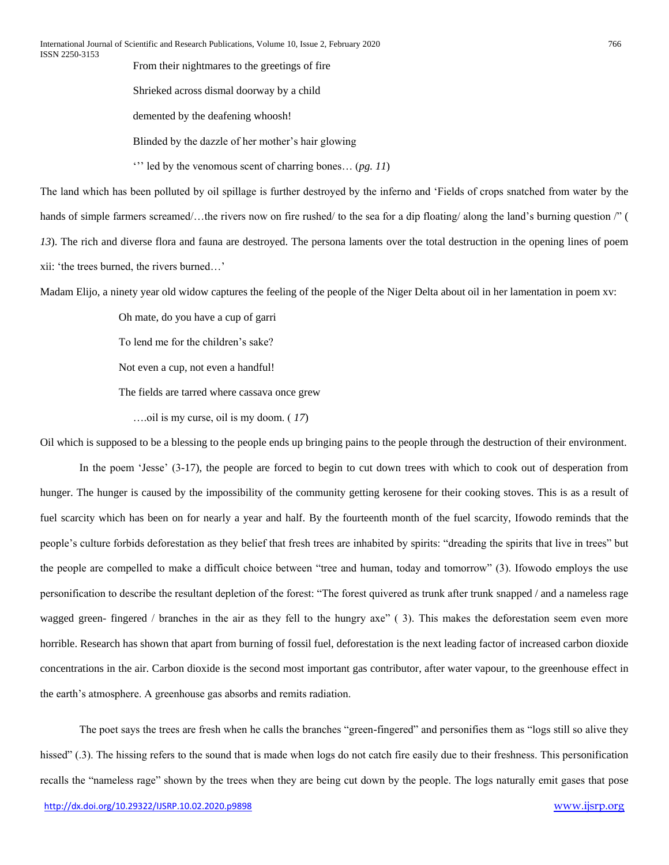From their nightmares to the greetings of fire

Shrieked across dismal doorway by a child

demented by the deafening whoosh!

Blinded by the dazzle of her mother's hair glowing

''' led by the venomous scent of charring bones… (*pg. 11*)

The land which has been polluted by oil spillage is further destroyed by the inferno and 'Fields of crops snatched from water by the hands of simple farmers screamed/...the rivers now on fire rushed/ to the sea for a dip floating/ along the land's burning question /" ( *13*). The rich and diverse flora and fauna are destroyed. The persona laments over the total destruction in the opening lines of poem xii: 'the trees burned, the rivers burned…'

Madam Elijo, a ninety year old widow captures the feeling of the people of the Niger Delta about oil in her lamentation in poem xv:

Oh mate, do you have a cup of garri

To lend me for the children's sake?

Not even a cup, not even a handful!

The fields are tarred where cassava once grew

….oil is my curse, oil is my doom. ( *17*)

Oil which is supposed to be a blessing to the people ends up bringing pains to the people through the destruction of their environment.

In the poem 'Jesse' (3-17), the people are forced to begin to cut down trees with which to cook out of desperation from hunger. The hunger is caused by the impossibility of the community getting kerosene for their cooking stoves. This is as a result of fuel scarcity which has been on for nearly a year and half. By the fourteenth month of the fuel scarcity, Ifowodo reminds that the people's culture forbids deforestation as they belief that fresh trees are inhabited by spirits: "dreading the spirits that live in trees" but the people are compelled to make a difficult choice between "tree and human, today and tomorrow" (3). Ifowodo employs the use personification to describe the resultant depletion of the forest: "The forest quivered as trunk after trunk snapped / and a nameless rage wagged green- fingered / branches in the air as they fell to the hungry axe" (3). This makes the deforestation seem even more horrible. Research has shown that apart from burning of fossil fuel, deforestation is the next leading factor of increased carbon dioxide concentrations in the air. Carbon dioxide is the second most important gas contributor, after water vapour, to the greenhouse effect in the earth's atmosphere. A greenhouse gas absorbs and remits radiation.

The poet says the trees are fresh when he calls the branches "green-fingered" and personifies them as "logs still so alive they hissed" (.3). The hissing refers to the sound that is made when logs do not catch fire easily due to their freshness. This personification recalls the "nameless rage" shown by the trees when they are being cut down by the people. The logs naturally emit gases that pose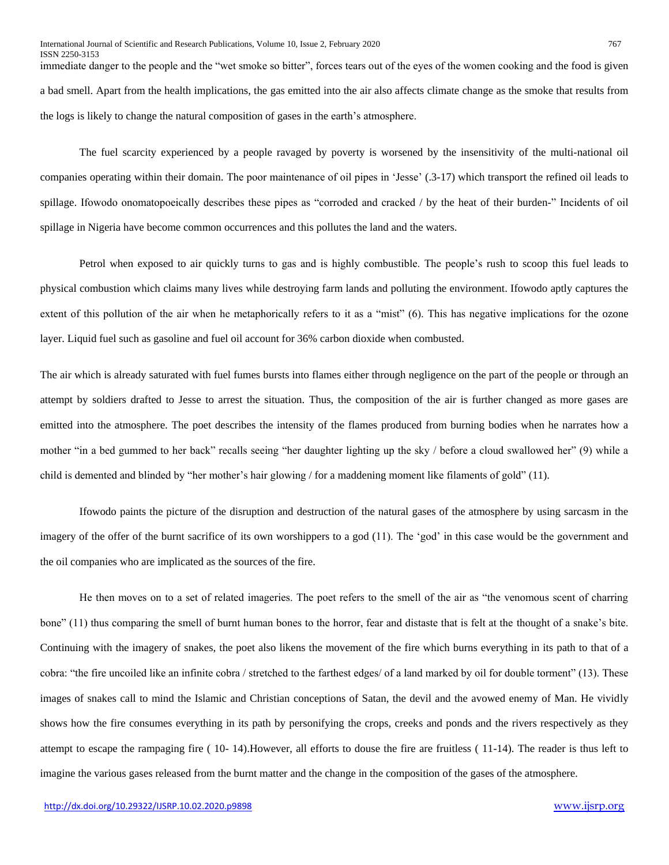immediate danger to the people and the "wet smoke so bitter", forces tears out of the eyes of the women cooking and the food is given a bad smell. Apart from the health implications, the gas emitted into the air also affects climate change as the smoke that results from the logs is likely to change the natural composition of gases in the earth's atmosphere.

The fuel scarcity experienced by a people ravaged by poverty is worsened by the insensitivity of the multi-national oil companies operating within their domain. The poor maintenance of oil pipes in 'Jesse' (.3-17) which transport the refined oil leads to spillage. Ifowodo onomatopoeically describes these pipes as "corroded and cracked / by the heat of their burden-" Incidents of oil spillage in Nigeria have become common occurrences and this pollutes the land and the waters.

Petrol when exposed to air quickly turns to gas and is highly combustible. The people's rush to scoop this fuel leads to physical combustion which claims many lives while destroying farm lands and polluting the environment. Ifowodo aptly captures the extent of this pollution of the air when he metaphorically refers to it as a "mist" (6). This has negative implications for the ozone layer. Liquid fuel such as gasoline and fuel oil account for 36% carbon dioxide when combusted.

The air which is already saturated with fuel fumes bursts into flames either through negligence on the part of the people or through an attempt by soldiers drafted to Jesse to arrest the situation. Thus, the composition of the air is further changed as more gases are emitted into the atmosphere. The poet describes the intensity of the flames produced from burning bodies when he narrates how a mother "in a bed gummed to her back" recalls seeing "her daughter lighting up the sky / before a cloud swallowed her" (9) while a child is demented and blinded by "her mother's hair glowing / for a maddening moment like filaments of gold" (11).

Ifowodo paints the picture of the disruption and destruction of the natural gases of the atmosphere by using sarcasm in the imagery of the offer of the burnt sacrifice of its own worshippers to a god (11). The 'god' in this case would be the government and the oil companies who are implicated as the sources of the fire.

He then moves on to a set of related imageries. The poet refers to the smell of the air as "the venomous scent of charring bone" (11) thus comparing the smell of burnt human bones to the horror, fear and distaste that is felt at the thought of a snake's bite. Continuing with the imagery of snakes, the poet also likens the movement of the fire which burns everything in its path to that of a cobra: "the fire uncoiled like an infinite cobra / stretched to the farthest edges/ of a land marked by oil for double torment" (13). These images of snakes call to mind the Islamic and Christian conceptions of Satan, the devil and the avowed enemy of Man. He vividly shows how the fire consumes everything in its path by personifying the crops, creeks and ponds and the rivers respectively as they attempt to escape the rampaging fire ( 10- 14).However, all efforts to douse the fire are fruitless ( 11-14). The reader is thus left to imagine the various gases released from the burnt matter and the change in the composition of the gases of the atmosphere.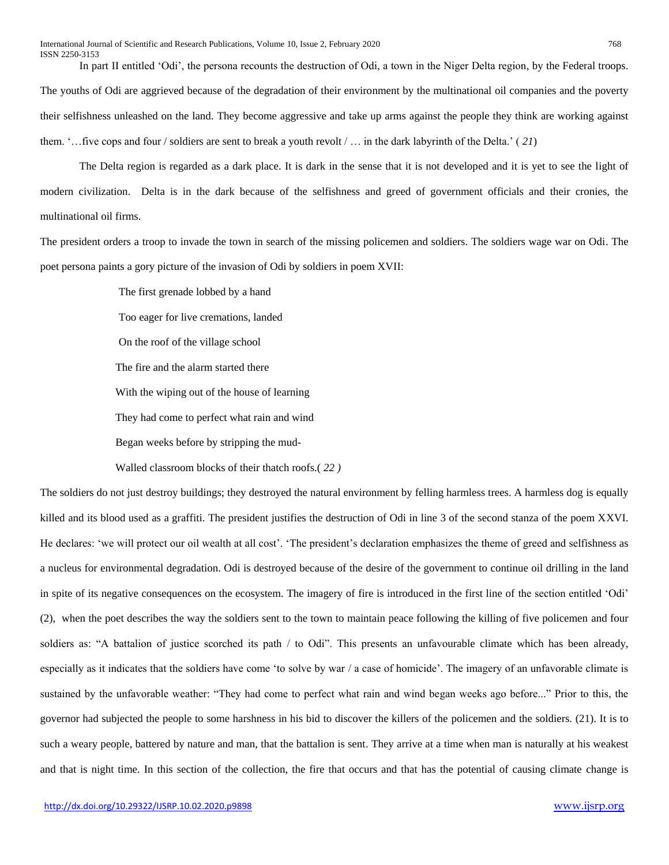In part II entitled 'Odi', the persona recounts the destruction of Odi, a town in the Niger Delta region, by the Federal troops. The youths of Odi are aggrieved because of the degradation of their environment by the multinational oil companies and the poverty their selfishness unleashed on the land. They become aggressive and take up arms against the people they think are working against them. '…five cops and four / soldiers are sent to break a youth revolt / … in the dark labyrinth of the Delta.' ( *21*)

The Delta region is regarded as a dark place. It is dark in the sense that it is not developed and it is yet to see the light of modern civilization. Delta is in the dark because of the selfishness and greed of government officials and their cronies, the multinational oil firms.

The president orders a troop to invade the town in search of the missing policemen and soldiers. The soldiers wage war on Odi. The poet persona paints a gory picture of the invasion of Odi by soldiers in poem XVII:

> The first grenade lobbed by a hand Too eager for live cremations, landed On the roof of the village school The fire and the alarm started there With the wiping out of the house of learning They had come to perfect what rain and wind Began weeks before by stripping the mud-

Walled classroom blocks of their thatch roofs.( *22 )*

The soldiers do not just destroy buildings; they destroyed the natural environment by felling harmless trees. A harmless dog is equally killed and its blood used as a graffiti. The president justifies the destruction of Odi in line 3 of the second stanza of the poem XXVI. He declares: 'we will protect our oil wealth at all cost'. 'The president's declaration emphasizes the theme of greed and selfishness as a nucleus for environmental degradation. Odi is destroyed because of the desire of the government to continue oil drilling in the land in spite of its negative consequences on the ecosystem. The imagery of fire is introduced in the first line of the section entitled 'Odi' (2), when the poet describes the way the soldiers sent to the town to maintain peace following the killing of five policemen and four soldiers as: "A battalion of justice scorched its path / to Odi". This presents an unfavourable climate which has been already, especially as it indicates that the soldiers have come 'to solve by war / a case of homicide'. The imagery of an unfavorable climate is sustained by the unfavorable weather: "They had come to perfect what rain and wind began weeks ago before..." Prior to this, the governor had subjected the people to some harshness in his bid to discover the killers of the policemen and the soldiers. (21). It is to such a weary people, battered by nature and man, that the battalion is sent. They arrive at a time when man is naturally at his weakest and that is night time. In this section of the collection, the fire that occurs and that has the potential of causing climate change is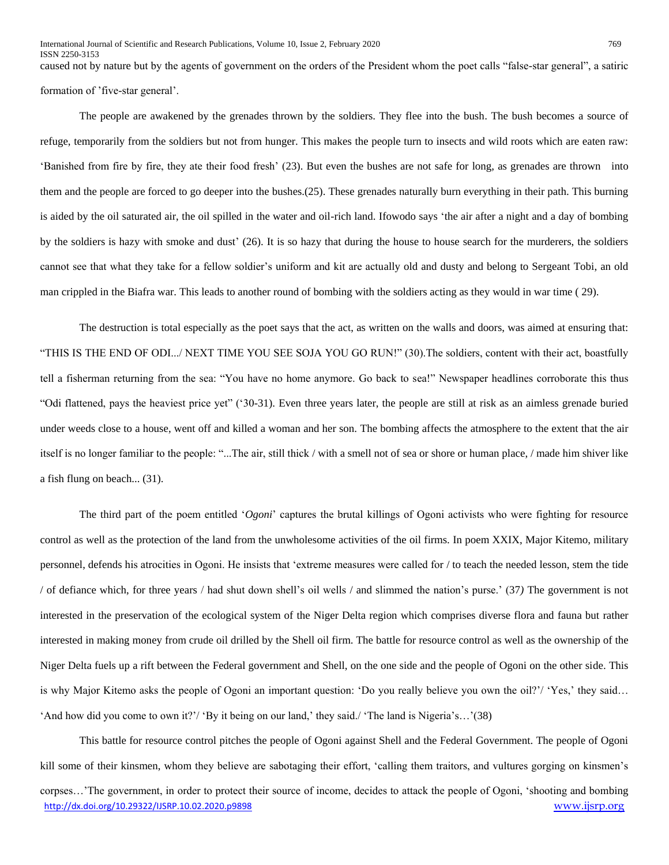ISSN 2250-3153 caused not by nature but by the agents of government on the orders of the President whom the poet calls "false-star general", a satiric formation of 'five-star general'.

The people are awakened by the grenades thrown by the soldiers. They flee into the bush. The bush becomes a source of refuge, temporarily from the soldiers but not from hunger. This makes the people turn to insects and wild roots which are eaten raw: 'Banished from fire by fire, they ate their food fresh' (23). But even the bushes are not safe for long, as grenades are thrown into them and the people are forced to go deeper into the bushes.(25). These grenades naturally burn everything in their path. This burning is aided by the oil saturated air, the oil spilled in the water and oil-rich land. Ifowodo says 'the air after a night and a day of bombing by the soldiers is hazy with smoke and dust' (26). It is so hazy that during the house to house search for the murderers, the soldiers cannot see that what they take for a fellow soldier's uniform and kit are actually old and dusty and belong to Sergeant Tobi, an old man crippled in the Biafra war. This leads to another round of bombing with the soldiers acting as they would in war time ( 29).

The destruction is total especially as the poet says that the act, as written on the walls and doors, was aimed at ensuring that: "THIS IS THE END OF ODI.../ NEXT TIME YOU SEE SOJA YOU GO RUN!" (30).The soldiers, content with their act, boastfully tell a fisherman returning from the sea: "You have no home anymore. Go back to sea!" Newspaper headlines corroborate this thus "Odi flattened, pays the heaviest price yet" ('30-31). Even three years later, the people are still at risk as an aimless grenade buried under weeds close to a house, went off and killed a woman and her son. The bombing affects the atmosphere to the extent that the air itself is no longer familiar to the people: "...The air, still thick / with a smell not of sea or shore or human place, / made him shiver like a fish flung on beach... (31).

The third part of the poem entitled '*Ogoni*' captures the brutal killings of Ogoni activists who were fighting for resource control as well as the protection of the land from the unwholesome activities of the oil firms. In poem XXIX, Major Kitemo, military personnel, defends his atrocities in Ogoni. He insists that 'extreme measures were called for / to teach the needed lesson, stem the tide / of defiance which, for three years / had shut down shell's oil wells / and slimmed the nation's purse.' (37*)* The government is not interested in the preservation of the ecological system of the Niger Delta region which comprises diverse flora and fauna but rather interested in making money from crude oil drilled by the Shell oil firm. The battle for resource control as well as the ownership of the Niger Delta fuels up a rift between the Federal government and Shell, on the one side and the people of Ogoni on the other side. This is why Major Kitemo asks the people of Ogoni an important question: 'Do you really believe you own the oil?'/ 'Yes,' they said… 'And how did you come to own it?'/ 'By it being on our land,' they said./ 'The land is Nigeria's…'(38)

<http://dx.doi.org/10.29322/IJSRP.10.02.2020.p9898> [www.ijsrp.org](http://ijsrp.org/) This battle for resource control pitches the people of Ogoni against Shell and the Federal Government. The people of Ogoni kill some of their kinsmen, whom they believe are sabotaging their effort, 'calling them traitors, and vultures gorging on kinsmen's corpses…'The government, in order to protect their source of income, decides to attack the people of Ogoni, 'shooting and bombing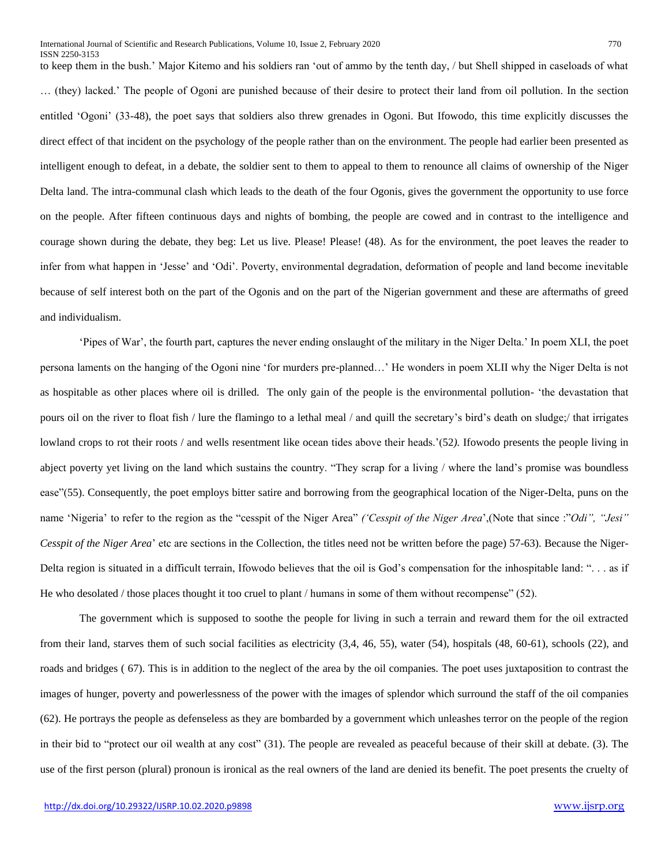to keep them in the bush.' Major Kitemo and his soldiers ran 'out of ammo by the tenth day, / but Shell shipped in caseloads of what … (they) lacked.' The people of Ogoni are punished because of their desire to protect their land from oil pollution. In the section entitled 'Ogoni' (33-48), the poet says that soldiers also threw grenades in Ogoni. But Ifowodo, this time explicitly discusses the direct effect of that incident on the psychology of the people rather than on the environment. The people had earlier been presented as intelligent enough to defeat, in a debate, the soldier sent to them to appeal to them to renounce all claims of ownership of the Niger Delta land. The intra-communal clash which leads to the death of the four Ogonis, gives the government the opportunity to use force on the people. After fifteen continuous days and nights of bombing, the people are cowed and in contrast to the intelligence and courage shown during the debate, they beg: Let us live. Please! Please! (48). As for the environment, the poet leaves the reader to infer from what happen in 'Jesse' and 'Odi'. Poverty, environmental degradation, deformation of people and land become inevitable because of self interest both on the part of the Ogonis and on the part of the Nigerian government and these are aftermaths of greed and individualism.

'Pipes of War', the fourth part, captures the never ending onslaught of the military in the Niger Delta.' In poem XLI, the poet persona laments on the hanging of the Ogoni nine 'for murders pre-planned…' He wonders in poem XLII why the Niger Delta is not as hospitable as other places where oil is drilled. The only gain of the people is the environmental pollution- 'the devastation that pours oil on the river to float fish / lure the flamingo to a lethal meal / and quill the secretary's bird's death on sludge;/ that irrigates lowland crops to rot their roots / and wells resentment like ocean tides above their heads.'(52*).* Ifowodo presents the people living in abject poverty yet living on the land which sustains the country. "They scrap for a living / where the land's promise was boundless ease"(55). Consequently, the poet employs bitter satire and borrowing from the geographical location of the Niger-Delta, puns on the name 'Nigeria' to refer to the region as the "cesspit of the Niger Area" *('Cesspit of the Niger Area*',(Note that since :"*Odi", "Jesi" Cesspit of the Niger Area*' etc are sections in the Collection, the titles need not be written before the page) 57-63). Because the Niger-Delta region is situated in a difficult terrain, Ifowodo believes that the oil is God's compensation for the inhospitable land: ". . . as if He who desolated / those places thought it too cruel to plant / humans in some of them without recompense" (52).

The government which is supposed to soothe the people for living in such a terrain and reward them for the oil extracted from their land, starves them of such social facilities as electricity (3,4, 46, 55), water (54), hospitals (48, 60-61), schools (22), and roads and bridges ( 67). This is in addition to the neglect of the area by the oil companies. The poet uses juxtaposition to contrast the images of hunger, poverty and powerlessness of the power with the images of splendor which surround the staff of the oil companies (62). He portrays the people as defenseless as they are bombarded by a government which unleashes terror on the people of the region in their bid to "protect our oil wealth at any cost" (31). The people are revealed as peaceful because of their skill at debate. (3). The use of the first person (plural) pronoun is ironical as the real owners of the land are denied its benefit. The poet presents the cruelty of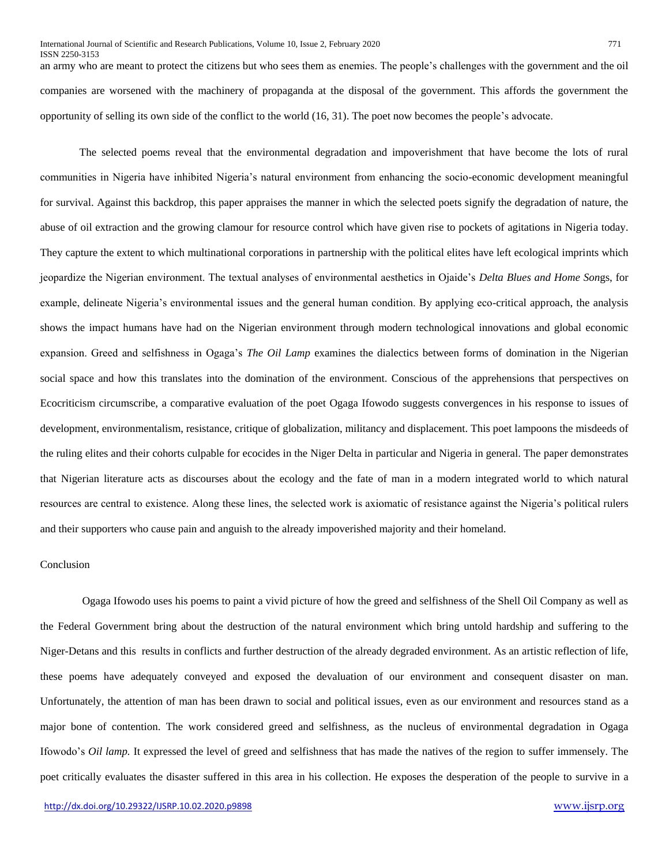an army who are meant to protect the citizens but who sees them as enemies. The people's challenges with the government and the oil companies are worsened with the machinery of propaganda at the disposal of the government. This affords the government the opportunity of selling its own side of the conflict to the world (16, 31). The poet now becomes the people's advocate.

The selected poems reveal that the environmental degradation and impoverishment that have become the lots of rural communities in Nigeria have inhibited Nigeria's natural environment from enhancing the socio-economic development meaningful for survival. Against this backdrop, this paper appraises the manner in which the selected poets signify the degradation of nature, the abuse of oil extraction and the growing clamour for resource control which have given rise to pockets of agitations in Nigeria today. They capture the extent to which multinational corporations in partnership with the political elites have left ecological imprints which jeopardize the Nigerian environment. The textual analyses of environmental aesthetics in Ojaide's *Delta Blues and Home Son*gs, for example, delineate Nigeria's environmental issues and the general human condition. By applying eco-critical approach, the analysis shows the impact humans have had on the Nigerian environment through modern technological innovations and global economic expansion. Greed and selfishness in Ogaga's *The Oil Lamp* examines the dialectics between forms of domination in the Nigerian social space and how this translates into the domination of the environment. Conscious of the apprehensions that perspectives on Ecocriticism circumscribe, a comparative evaluation of the poet Ogaga Ifowodo suggests convergences in his response to issues of development, environmentalism, resistance, critique of globalization, militancy and displacement. This poet lampoons the misdeeds of the ruling elites and their cohorts culpable for ecocides in the Niger Delta in particular and Nigeria in general. The paper demonstrates that Nigerian literature acts as discourses about the ecology and the fate of man in a modern integrated world to which natural resources are central to existence. Along these lines, the selected work is axiomatic of resistance against the Nigeria's political rulers and their supporters who cause pain and anguish to the already impoverished majority and their homeland.

#### Conclusion

ISSN 2250-3153

Ogaga Ifowodo uses his poems to paint a vivid picture of how the greed and selfishness of the Shell Oil Company as well as the Federal Government bring about the destruction of the natural environment which bring untold hardship and suffering to the Niger-Detans and this results in conflicts and further destruction of the already degraded environment. As an artistic reflection of life, these poems have adequately conveyed and exposed the devaluation of our environment and consequent disaster on man. Unfortunately, the attention of man has been drawn to social and political issues, even as our environment and resources stand as a major bone of contention. The work considered greed and selfishness, as the nucleus of environmental degradation in Ogaga Ifowodo's *Oil lamp.* It expressed the level of greed and selfishness that has made the natives of the region to suffer immensely. The poet critically evaluates the disaster suffered in this area in his collection. He exposes the desperation of the people to survive in a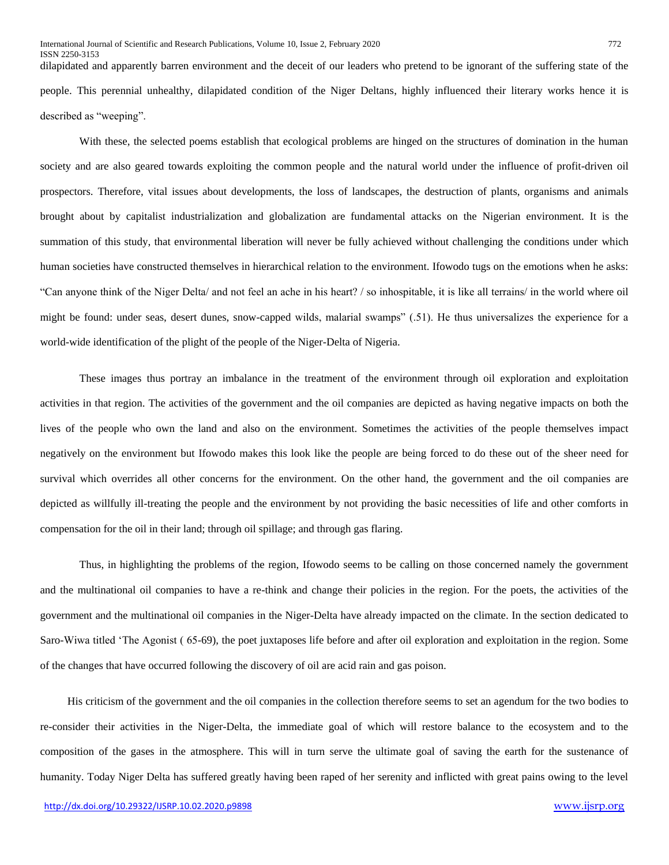dilapidated and apparently barren environment and the deceit of our leaders who pretend to be ignorant of the suffering state of the people. This perennial unhealthy, dilapidated condition of the Niger Deltans, highly influenced their literary works hence it is described as "weeping".

With these, the selected poems establish that ecological problems are hinged on the structures of domination in the human society and are also geared towards exploiting the common people and the natural world under the influence of profit-driven oil prospectors. Therefore, vital issues about developments, the loss of landscapes, the destruction of plants, organisms and animals brought about by capitalist industrialization and globalization are fundamental attacks on the Nigerian environment. It is the summation of this study, that environmental liberation will never be fully achieved without challenging the conditions under which human societies have constructed themselves in hierarchical relation to the environment. Ifowodo tugs on the emotions when he asks: "Can anyone think of the Niger Delta/ and not feel an ache in his heart? / so inhospitable, it is like all terrains/ in the world where oil might be found: under seas, desert dunes, snow-capped wilds, malarial swamps" (.51). He thus universalizes the experience for a world-wide identification of the plight of the people of the Niger-Delta of Nigeria.

These images thus portray an imbalance in the treatment of the environment through oil exploration and exploitation activities in that region. The activities of the government and the oil companies are depicted as having negative impacts on both the lives of the people who own the land and also on the environment. Sometimes the activities of the people themselves impact negatively on the environment but Ifowodo makes this look like the people are being forced to do these out of the sheer need for survival which overrides all other concerns for the environment. On the other hand, the government and the oil companies are depicted as willfully ill-treating the people and the environment by not providing the basic necessities of life and other comforts in compensation for the oil in their land; through oil spillage; and through gas flaring.

Thus, in highlighting the problems of the region, Ifowodo seems to be calling on those concerned namely the government and the multinational oil companies to have a re-think and change their policies in the region. For the poets, the activities of the government and the multinational oil companies in the Niger-Delta have already impacted on the climate. In the section dedicated to Saro-Wiwa titled 'The Agonist ( 65-69), the poet juxtaposes life before and after oil exploration and exploitation in the region. Some of the changes that have occurred following the discovery of oil are acid rain and gas poison.

 His criticism of the government and the oil companies in the collection therefore seems to set an agendum for the two bodies to re-consider their activities in the Niger-Delta, the immediate goal of which will restore balance to the ecosystem and to the composition of the gases in the atmosphere. This will in turn serve the ultimate goal of saving the earth for the sustenance of humanity. Today Niger Delta has suffered greatly having been raped of her serenity and inflicted with great pains owing to the level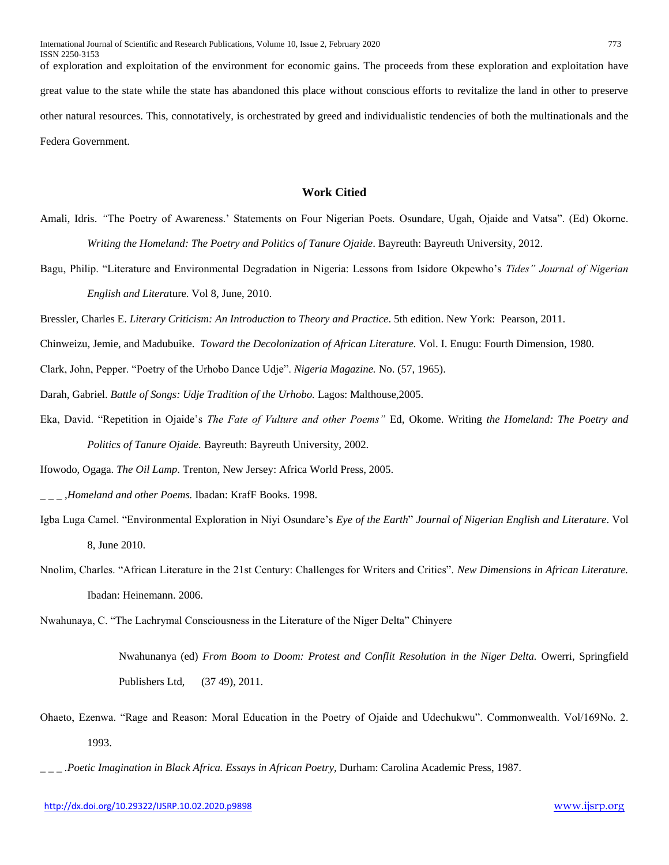of exploration and exploitation of the environment for economic gains. The proceeds from these exploration and exploitation have great value to the state while the state has abandoned this place without conscious efforts to revitalize the land in other to preserve other natural resources. This, connotatively, is orchestrated by greed and individualistic tendencies of both the multinationals and the Federa Government.

# **Work Citied**

- Amali, Idris. *"*The Poetry of Awareness.' Statements on Four Nigerian Poets*.* Osundare, Ugah, Ojaide and Vatsa". (Ed) Okorne. *Writing the Homeland: The Poetry and Politics of Tanure Ojaide*. Bayreuth: Bayreuth University, 2012.
- Bagu, Philip. "Literature and Environmental Degradation in Nigeria: Lessons from Isidore Okpewho's *Tides" Journal of Nigerian English and Litera*ture. Vol 8, June, 2010.
- Bressler, Charles E. *Literary Criticism: An Introduction to Theory and Practice*. 5th edition. New York: Pearson, 2011.
- Chinweizu, Jemie, and Madubuike. *Toward the Decolonization of African Literature.* Vol. I. Enugu: Fourth Dimension, 1980.
- Clark, John, Pepper. "Poetry of the Urhobo Dance Udje". *Nigeria Magazine.* No. (57, 1965).
- Darah, Gabriel. *Battle of Songs: Udje Tradition of the Urhobo.* Lagos: Malthouse,2005.
- Eka, David. "Repetition in Ojaide's *The Fate of Vulture and other Poems"* Ed, Okome. Writing *the Homeland: The Poetry and Politics of Tanure Ojaide.* Bayreuth: Bayreuth University, 2002.
- Ifowodo, Ogaga. *The Oil Lamp*. Trenton, New Jersey: Africa World Press, 2005.
- \_ \_ \_ ,*Homeland and other Poems.* Ibadan: KrafF Books. 1998.
- Igba Luga Camel. "Environmental Exploration in Niyi Osundare's *Eye of the Earth*" *Journal of Nigerian English and Literature*. Vol 8, June 2010.
- Nnolim, Charles. "African Literature in the 21st Century: Challenges for Writers and Critics". *New Dimensions in African Literature.* Ibadan: Heinemann. 2006.
- Nwahunaya, C. "The Lachrymal Consciousness in the Literature of the Niger Delta" Chinyere

Nwahunanya (ed) *From Boom to Doom: Protest and Conflit Resolution in the Niger Delta.* Owerri, Springfield Publishers Ltd, (37 49), 2011.

- Ohaeto, Ezenwa. "Rage and Reason: Moral Education in the Poetry of Ojaide and Udechukwu". Commonwealth. Vol/169No. 2. 1993.
- *\_ \_ \_ .Poetic Imagination in Black Africa. Essays in African Poetry,* Durham: Carolina Academic Press, 1987.